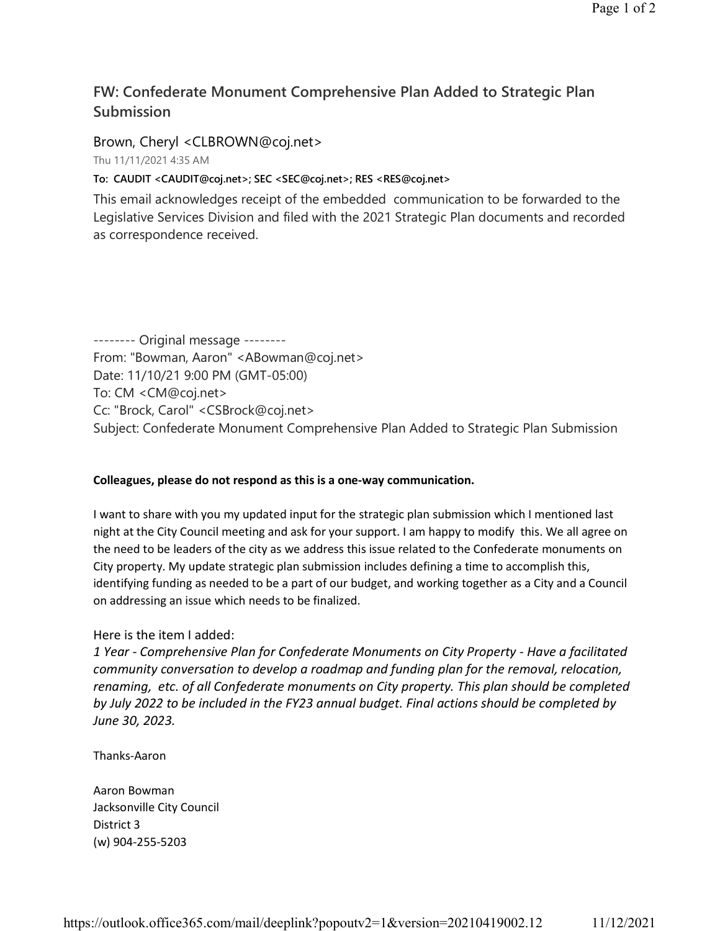## **FW: Confederate Monument Comprehensive Plan Added to Strategic Plan Submission**

Brown, Cheryl <CLBROWN@coj.net>

Thu 11/11/2021 4:35 AM

**To: CAUDIT <CAUDIT@coj.net>; SEC <SEC@coj.net>; RES <RES@coj.net>**

This email acknowledges receipt of the embedded communication to be forwarded to the Legislative Services Division and filed with the 2021 Strategic Plan documents and recorded as correspondence received.

-------- Original message -------- From: "Bowman, Aaron" <ABowman@coj.net> Date: 11/10/21 9:00 PM (GMT-05:00) To: CM <CM@coj.net> Cc: "Brock, Carol" <CSBrock@coj.net> Subject: Confederate Monument Comprehensive Plan Added to Strategic Plan Submission

## **Colleagues, please do not respond as this is a one-way communication.**

I want to share with you my updated input for the strategic plan submission which I mentioned last night at the City Council meeting and ask for your support. I am happy to modify this. We all agree on the need to be leaders of the city as we address this issue related to the Confederate monuments on City property. My update strategic plan submission includes defining a time to accomplish this, identifying funding as needed to be a part of our budget, and working together as a City and a Council on addressing an issue which needs to be finalized.

## Here is the item I added:

*1 Year - Comprehensive Plan for Confederate Monuments on City Property - Have a facilitated community conversation to develop a roadmap and funding plan for the removal, relocation, renaming, etc. of all Confederate monuments on City property. This plan should be completed by July 2022 to be included in the FY23 annual budget. Final actions should be completed by June 30, 2023.*

Thanks-Aaron

Aaron Bowman Jacksonville City Council District 3 (w) 904-255-5203